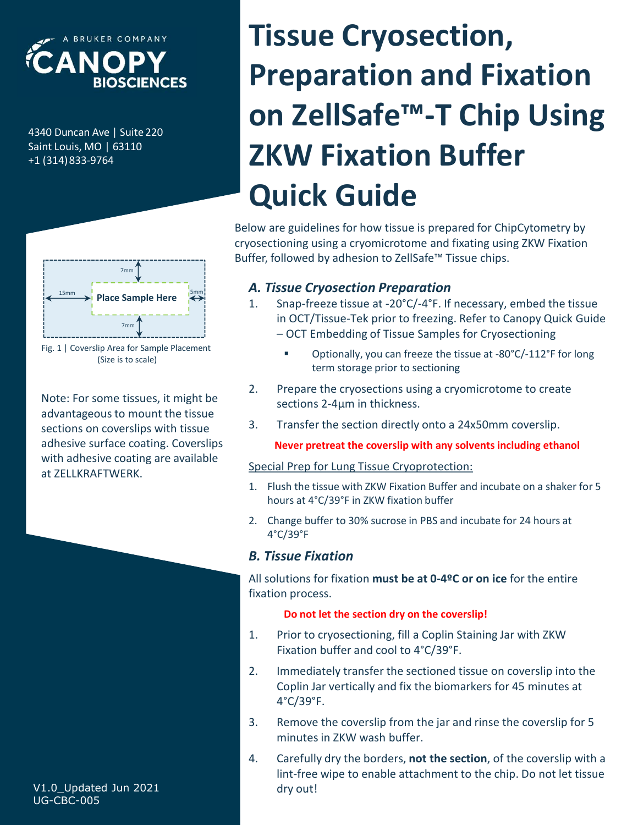

+1 (314)833-9764



Fig. 1 | Coverslip Area for Sample Placement (Size is to scale)

advantageous to mount the tissue<br>sections on coverslips with tissue and a section directly onto a 24x50mm coverslip. sections on coverslips with tissue adhesive surface coating. Coverslips with adhesive coating are available at ZELLKRAFTWERK.

# ELA NOPY<br>
BIOSCIENCES<br>
BIOSCIENCES<br>
A<sub>4340 Duncan Ave | Suite 220</sub><br>
A<sub>4340 Duncan Ave | Suite 220</sub><br>
A<sub>4340 Duncan Ave | Suite 220</sub><br>
<br> **2KW Fixation Buf**<br>
Quick Guide ECANOPY<br>
BIOSCIENCES<br>
BALAO DUNCAN PREPARTION AT<br>
BALAO DUNCAN AVE | SUITE 220<br>
SAINT LOUIS, MO | 63110<br>
HALAO DUNCAN PREPARTION PRESENTED IN THE PREPARTION **Preparation and Fixation<br>
On ZellSafe<sup>rm</sup>-T Chip Using<br>
ZKW Fixation Buffer<br>
Quick Guide<br>
tow are guidelines for how tissue is prepared for ChipCytometry by<br>
osectioning using a cryomicrotome and fixating using ZKW Fixati Eparation and Fixation**<br> **CELSafe<sup>TM</sup>-T Chip Using**<br>
W Fixation Buffer<br>
gidelines for how tissue is prepared for ChipCytometry by<br>
ioning using a cryomicrotome and fixating using ZKW Fixation<br>
bilowed by adhesion to ZellS **ZKW Fixation Buffer**<br> **Quick Guide**<br>
Wow are guidelines for how tissue is prepared for ChipCytometry by<br>
osectioning using a cryomicrotome and fixating using ZKW Fixation<br>
ffer, followed by adhesion to ZellSafe<sup>rm</sup> Tissu **Example 18. Transferred Containers**<br>3. Transfer, followed by adhesion to ZellSafe<sup>me</sup> Tissue chips.<br>3. Transfere the section of the section of the section of the section of the section of the section of the section of the Tissue Cryosection, Preparation and Fixation on ZellSafe™-T Chip Using ZKW Fixation Buffer Quick Guide

Below are guidelines for how tissue is prepared for ChipCytometry by cryosectioning using a cryomicrotome and fixating using ZKW Fixation Buffer, followed by adhesion to ZellSafe™ Tissue chips.

### A. Tissue Cryosection Preparation

- The Term of Tissue-Tek prior to freezing. Refer to Canopy Quick Guide Tem number of Tissue-Tek prior to freezing. Refer to Canopy Quick Guide Iom are guidelines for how tissue is prepared for ChipCytometry by<br>osectioning using a cryomicrotome and fixating using ZKW Fixation<br>ffer, followed by adhesion to ZellSafe<sup>TM</sup> Tissue chips.<br>**A. Tissue Cryosection Preparati** Ther, followed by annesion to zensare anssue cups.<br> **2. Tissue Cryosection Preparation**<br>
1. Snap-freeze tissue at -20°C/-4°F. If necessary, embed the tissue<br>
in OCT/Tissue-Tek prior to freezing. Refer to Canopy Quick Guide Place Sample Here  $\begin{array}{c} 1.5 \end{array}$  Snap-freeze tissue at -20°C/-4°F. If necessary, embed the tissue
	- Optionally, you can freeze the tissue at -80°C/-112°F for long term storage prior to sectioning
- sections 2-4µm in thickness. Note: For some tissues, it might be a mean of the cryosections using a cryomicrotome to create<br>
Sections 2.4um in thickness
	-

#### Never pretreat the coverslip with any solvents including ethanol

#### Special Prep for Lung Tissue Cryoprotection:

- hours at 4°C/39°F in ZKW fixation buffer
- 4°C/39°F

#### B. Tissue Fixation

All solutions for fixation must be at 0-4ºC or on ice for the entire fixation process.

#### Do not let the section dry on the coverslip!

- Fixation buffer and cool to 4°C/39°F.
- 2. Prepare the cryosections using a cryomicrotome to create<br>sections 2-4µm in thickness.<br>3. Transfer the section directly onto a 24x50mm coverslip.<br>**Never pretreat the coverslip with any solvents including ethanol**<br>Specia 3. Transfer the section directly onto a 24x50mm coverslip.<br> **Never pretreat the coverslip with any solvents including ethanol**<br>
Special Prep for Lung Tissue Cryoprotection:<br>
1. Flush the tissue with ZKW Fixation Buffer an Coplin Jar vertically and fix the biomarkers for 45 minutes at 4°C/39°F.
- minutes in ZKW wash buffer.
- Special Prep for Lung Tissue Cryoprotection:<br>
1. Flush the tissue with ZKW Fixation Buffer and incubate on a shaker for 5<br>
hours at 4°C/39°F in ZKW fixation buffer<br>
2. Change buffer to 30% sucrose in PBS and incubate for hours at 4°C/39°F in ZKW fixation buffer<br>
2. Change buffer to 30% sucrose in PBS and incubate for 24 hours at<br>
4°C/39°F<br> **B. Tissue Fixation**<br>
All solutions for fixation must be at 0-4ºC or on ice for the entire<br>
fixation lint-free wipe to enable attachment to the chip. Do not let tissue dry out!